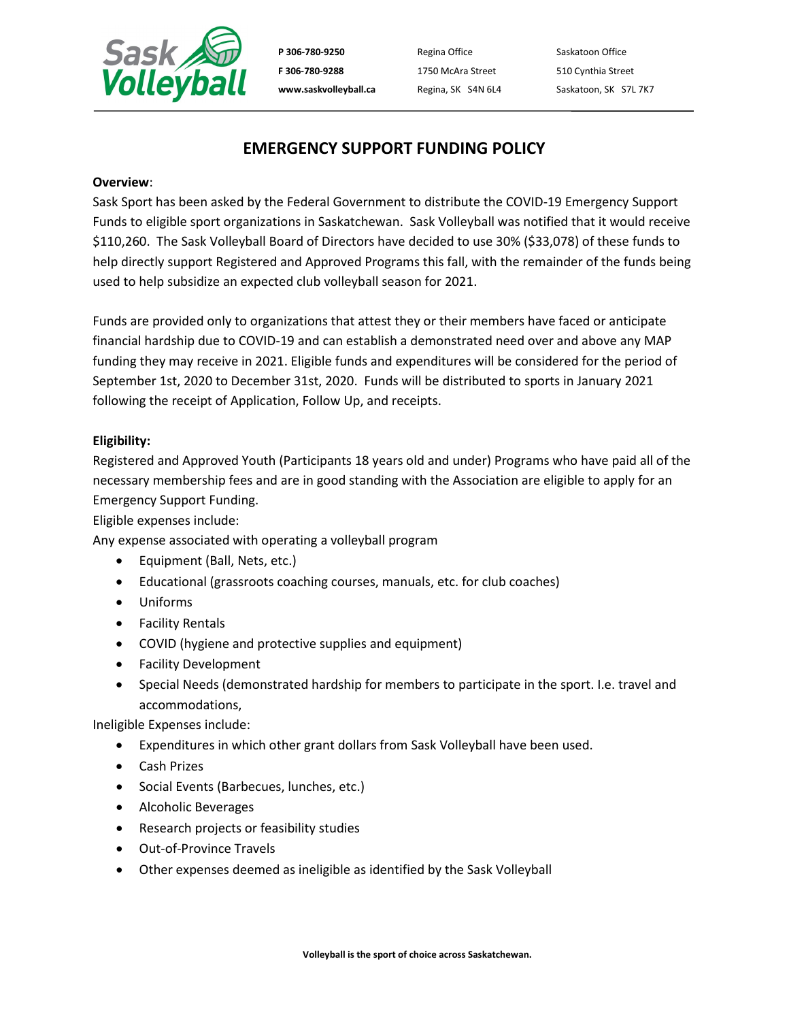

P 306-780-9250 Regina Office Saskatoon Office **F 306-780-9288** 1750 McAra Street 510 Cynthia Street

www.saskvolleyball.ca Regina, SK S4N 6L4 Saskatoon, SK S7L 7K7

# **EMERGENCY SUPPORT FUNDING POLICY**

#### **Overview**:

Sask Sport has been asked by the Federal Government to distribute the COVID-19 Emergency Support Funds to eligible sport organizations in Saskatchewan. Sask Volleyball was notified that it would receive \$110,260. The Sask Volleyball Board of Directors have decided to use 30% (\$33,078) of these funds to help directly support Registered and Approved Programs this fall, with the remainder of the funds being used to help subsidize an expected club volleyball season for 2021.

Funds are provided only to organizations that attest they or their members have faced or anticipate financial hardship due to COVID-19 and can establish a demonstrated need over and above any MAP funding they may receive in 2021. Eligible funds and expenditures will be considered for the period of September 1st, 2020 to December 31st, 2020. Funds will be distributed to sports in January 2021 following the receipt of Application, Follow Up, and receipts.

## **Eligibility:**

Registered and Approved Youth (Participants 18 years old and under) Programs who have paid all of the necessary membership fees and are in good standing with the Association are eligible to apply for an Emergency Support Funding.

Eligible expenses include:

Any expense associated with operating a volleyball program

- Equipment (Ball, Nets, etc.)
- Educational (grassroots coaching courses, manuals, etc. for club coaches)
- Uniforms
- Facility Rentals
- COVID (hygiene and protective supplies and equipment)
- Facility Development
- Special Needs (demonstrated hardship for members to participate in the sport. I.e. travel and accommodations,

Ineligible Expenses include:

- Expenditures in which other grant dollars from Sask Volleyball have been used.
- Cash Prizes
- Social Events (Barbecues, lunches, etc.)
- Alcoholic Beverages
- Research projects or feasibility studies
- Out-of-Province Travels
- Other expenses deemed as ineligible as identified by the Sask Volleyball